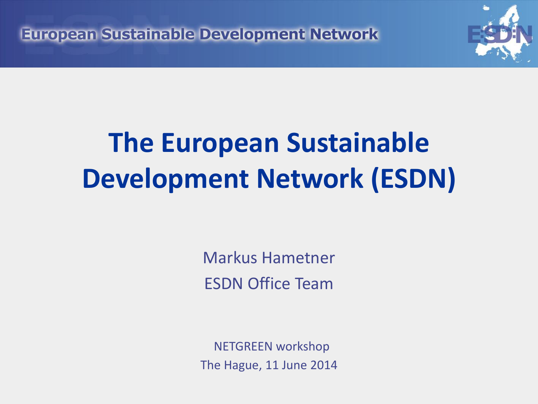European Sustainable Development Network



# **The European Sustainable Development Network (ESDN)**

Markus Hametner ESDN Office Team

NETGREEN workshop The Hague, 11 June 2014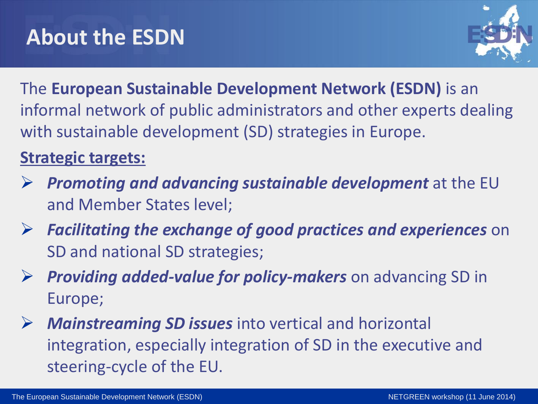

The **European Sustainable Development Network (ESDN)** is an informal network of public administrators and other experts dealing with sustainable development (SD) strategies in Europe.

#### **Strategic targets:**

- *Promoting and advancing sustainable development* at the EU and Member States level;
- *Facilitating the exchange of good practices and experiences* on SD and national SD strategies;
- *Providing added-value for policy-makers* on advancing SD in Europe;
- *Mainstreaming SD issues* into vertical and horizontal integration, especially integration of SD in the executive and steering-cycle of the EU.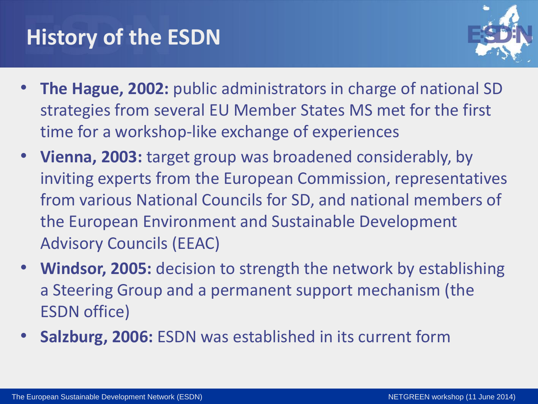#### **History of the ESDN**



- **The Hague, 2002:** public administrators in charge of national SD strategies from several EU Member States MS met for the first time for a workshop-like exchange of experiences
- **Vienna, 2003:** target group was broadened considerably, by inviting experts from the European Commission, representatives from various National Councils for SD, and national members of the European Environment and Sustainable Development Advisory Councils (EEAC)
- **Windsor, 2005:** decision to strength the network by establishing a Steering Group and a permanent support mechanism (the ESDN office)
- **Salzburg, 2006:** ESDN was established in its current form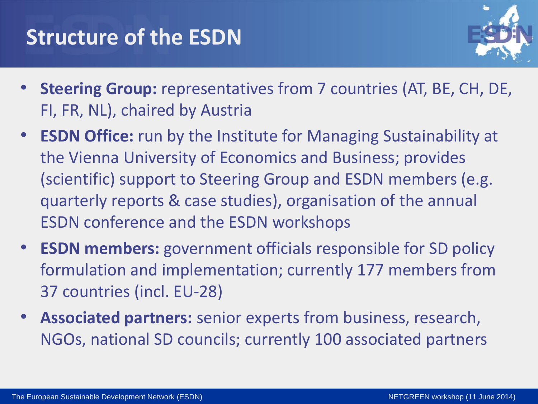#### **Structure of the ESDN**



- **Steering Group:** representatives from 7 countries (AT, BE, CH, DE, FI, FR, NL), chaired by Austria
- **ESDN Office:** run by the Institute for Managing Sustainability at the Vienna University of Economics and Business; provides (scientific) support to Steering Group and ESDN members (e.g. quarterly reports & case studies), organisation of the annual ESDN conference and the ESDN workshops
- **ESDN members:** government officials responsible for SD policy formulation and implementation; currently 177 members from 37 countries (incl. EU-28)
- **Associated partners:** senior experts from business, research, NGOs, national SD councils; currently 100 associated partners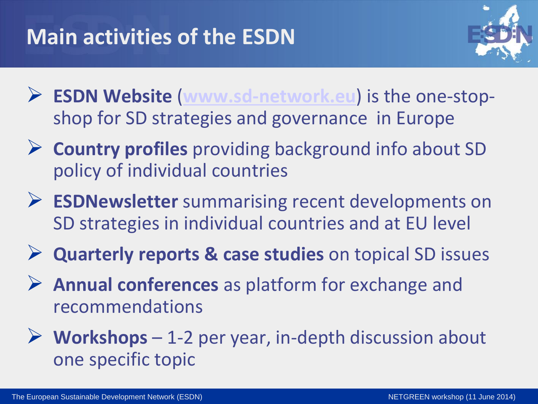

- **ESDN Website** (**[www.sd-network.eu](http://www.sd-network.eu/)**) is the one-stopshop for SD strategies and governance in Europe
- **Country profiles** providing background info about SD policy of individual countries
- **ESDNewsletter** summarising recent developments on SD strategies in individual countries and at EU level
- **Quarterly reports & case studies** on topical SD issues
- **Annual conferences** as platform for exchange and recommendations
- **Workshops**  1-2 per year, in-depth discussion about one specific topic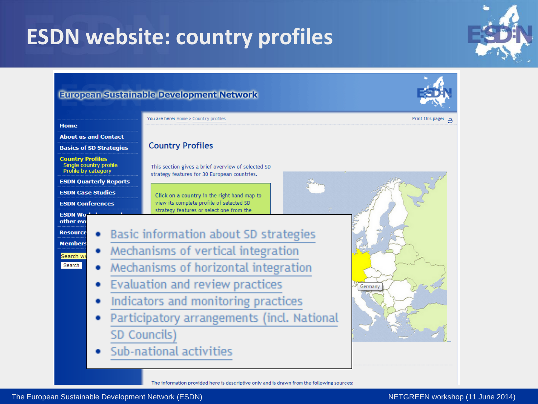## **ESDN website: country profiles**

#### **European Sustainable Development Network**



#### You are here: Home > Country profiles Print this page: **Home About us and Contact Country Profiles Basics of SD Strategies Country Profiles** Single country profile This section gives a brief overview of selected SD Profile by category strategy features for 30 European countries. **ESDN Quarterly Reports ESDN Case Studies** Click on a country in the right hand map to view its complete profile of selected SD **ESDN Conferences** strategy features or select one from the **ESDN Wor** other eve Basic information about SD strategies **Resource Members** Mechanisms of vertical integration  $\bullet$ Search w Mechanisms of horizontal integration Search Evaluation and review practices ۰ Germany Indicators and monitoring practices ۰ Participatory arrangements (incl. National SD Councils) Sub-national activities

The information provided here is descriptive only and is drawn from the following sources:

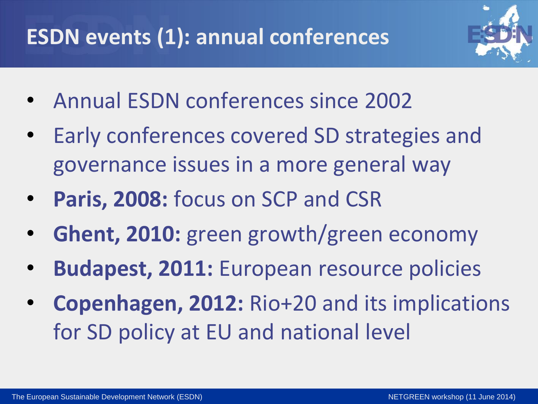## **ESDN events (1): annual conferences**



- Annual ESDN conferences since 2002
- Early conferences covered SD strategies and governance issues in a more general way
- **Paris, 2008:** focus on SCP and CSR
- **Ghent, 2010:** green growth/green economy
- **Budapest, 2011:** European resource policies
- **Copenhagen, 2012:** Rio+20 and its implications for SD policy at EU and national level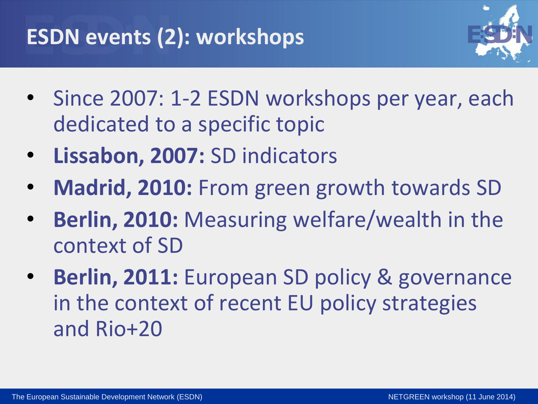#### **ESDN events (2): workshops**



- Since 2007: 1-2 ESDN workshops per year, each dedicated to a specific topic
- **Lissabon, 2007:** SD indicators
- **Madrid, 2010:** From green growth towards SD
- **Berlin, 2010:** Measuring welfare/wealth in the context of SD
- **Berlin, 2011: European SD policy & governance** in the context of recent EU policy strategies and Rio+20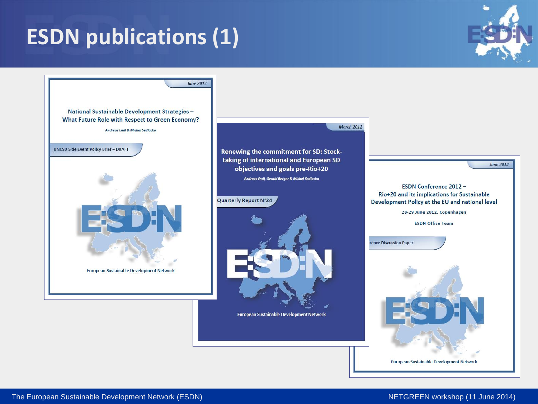## **ESDN publications (1)**



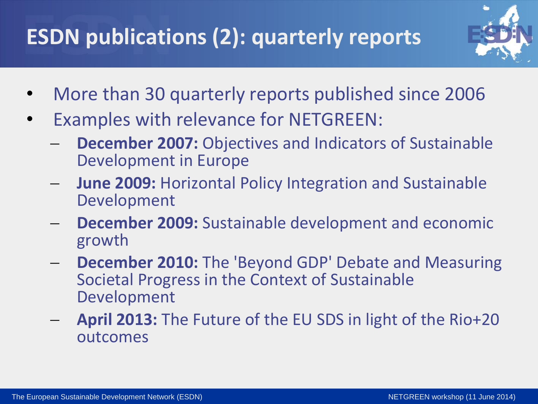## **ESDN publications (2): quarterly reports**



- More than 30 quarterly reports published since 2006
- Examples with relevance for NETGREEN:
	- **December 2007:** Objectives and Indicators of Sustainable Development in Europe
	- **June 2009:** Horizontal Policy Integration and Sustainable Development
	- **December 2009:** Sustainable development and economic growth
	- **December 2010:** The 'Beyond GDP' Debate and Measuring Societal Progress in the Context of Sustainable Development
	- **April 2013:** The Future of the EU SDS in light of the Rio+20 outcomes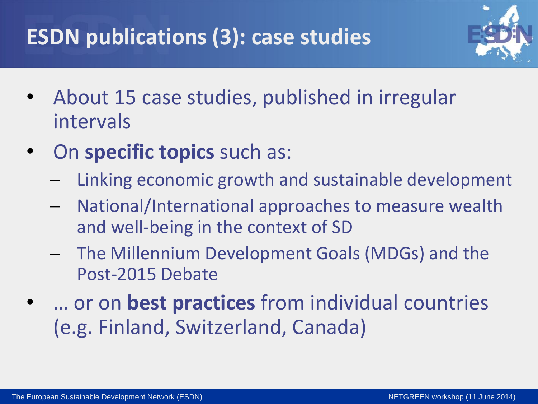## **ESDN publications (3): case studies**



- About 15 case studies, published in irregular intervals
- On **specific topics** such as:
	- Linking economic growth and sustainable development
	- National/International approaches to measure wealth and well-being in the context of SD
	- The Millennium Development Goals (MDGs) and the Post-2015 Debate
	- … or on **best practices** from individual countries (e.g. Finland, Switzerland, Canada)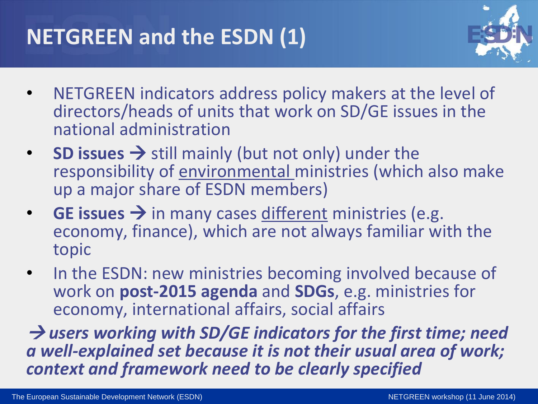#### **NETGREEN and the ESDN (1)**



- NETGREEN indicators address policy makers at the level of directors/heads of units that work on SD/GE issues in the national administration
- **SD issues**  $\rightarrow$  still mainly (but not only) under the responsibility of environmental ministries (which also make up a major share of ESDN members)
- **GE issues**  $\rightarrow$  **in many cases different ministries (e.g.** economy, finance), which are not always familiar with the topic
- In the ESDN: new ministries becoming involved because of work on **post-2015 agenda** and **SDGs**, e.g. ministries for economy, international affairs, social affairs

 *users working with SD/GE indicators for the first time; need a well-explained set because it is not their usual area of work; context and framework need to be clearly specified*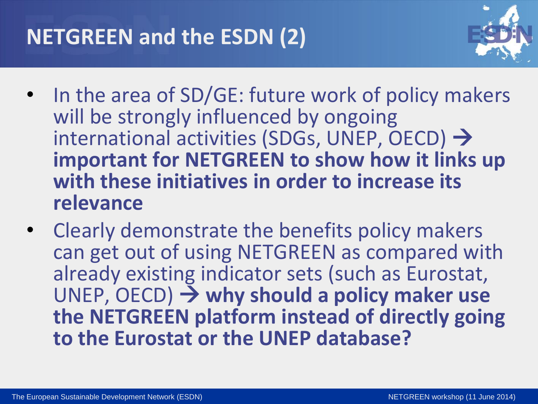#### **NETGREEN and the ESDN (2)**



- In the area of SD/GE: future work of policy makers will be strongly influenced by ongoing international activities (SDGs, UNEP, OECD)  $\rightarrow$ **important for NETGREEN to show how it links up with these initiatives in order to increase its relevance**
- Clearly demonstrate the benefits policy makers can get out of using NETGREEN as compared with already existing indicator sets (such as Eurostat, UNEP, OECD) **why should a policy maker use the NETGREEN platform instead of directly going to the Eurostat or the UNEP database?**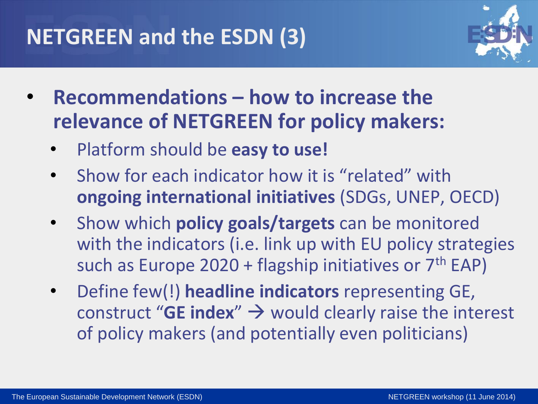#### **NETGREEN and the ESDN (3)**



- **Recommendations – how to increase the relevance of NETGREEN for policy makers:**
	- Platform should be **easy to use!**
	- Show for each indicator how it is "related" with **ongoing international initiatives** (SDGs, UNEP, OECD)
	- Show which **policy goals/targets** can be monitored with the indicators (i.e. link up with EU policy strategies such as Europe  $2020 +$  flagship initiatives or  $7<sup>th</sup>$  EAP)
	- Define few(!) **headline indicators** representing GE, construct "**GE index**"  $\rightarrow$  would clearly raise the interest of policy makers (and potentially even politicians)